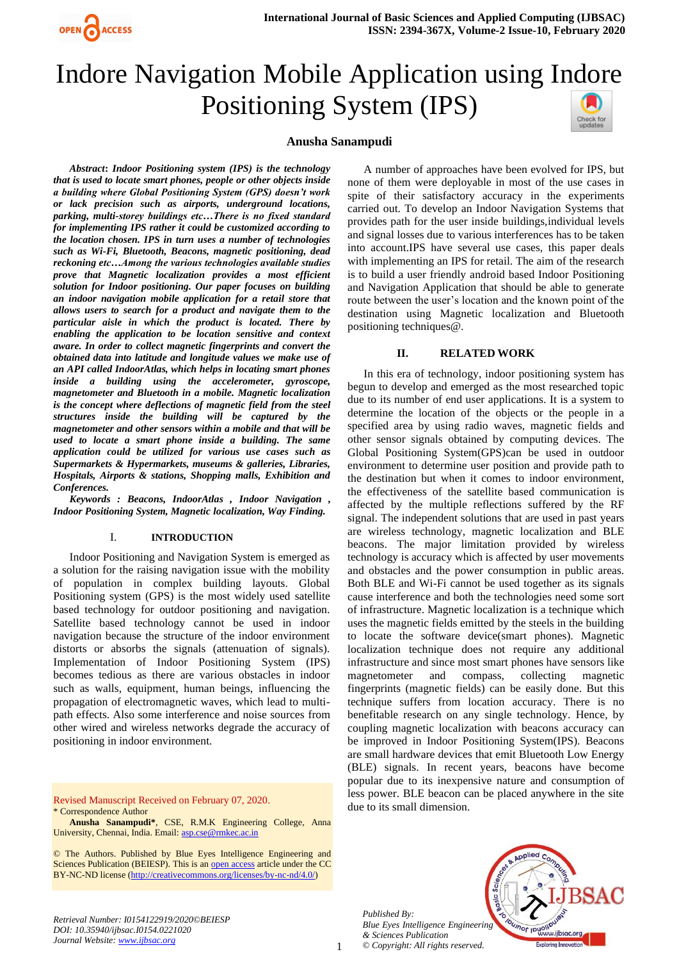

# Indore Navigation Mobile Application using Indore Positioning System (IPS)

# **Anusha Sanampudi**

*Abstract***:** *Indoor Positioning system (IPS) is the technology that is used to locate smart phones, people or other objects inside a building where Global Positioning System (GPS) doesn't work or lack precision such as airports, underground locations, parking, multi-storey buildings etc…There is no fixed standard for implementing IPS rather it could be customized according to the location chosen. IPS in turn uses a number of technologies such as Wi-Fi, Bluetooth, Beacons, magnetic positioning, dead reckoning etc…Among the various technologies available studies prove that Magnetic localization provides a most efficient solution for Indoor positioning. Our paper focuses on building an indoor navigation mobile application for a retail store that allows users to search for a product and navigate them to the particular aisle in which the product is located. There by enabling the application to be location sensitive and context aware. In order to collect magnetic fingerprints and convert the obtained data into latitude and longitude values we make use of an API called IndoorAtlas, which helps in locating smart phones inside a building using the accelerometer, gyroscope, magnetometer and Bluetooth in a mobile. Magnetic localization is the concept where deflections of magnetic field from the steel structures inside the building will be captured by the magnetometer and other sensors within a mobile and that will be used to locate a smart phone inside a building. The same application could be utilized for various use cases such as Supermarkets & Hypermarkets, museums & galleries, Libraries, Hospitals, Airports & stations, Shopping malls, Exhibition and Conferences.*

*Keywords : Beacons, IndoorAtlas , Indoor Navigation , Indoor Positioning System, Magnetic localization, Way Finding.*

#### I. **INTRODUCTION**

Indoor Positioning and Navigation System is emerged as a solution for the raising navigation issue with the mobility of population in complex building layouts. Global Positioning system (GPS) is the most widely used satellite based technology for outdoor positioning and navigation. Satellite based technology cannot be used in indoor navigation because the structure of the indoor environment distorts or absorbs the signals (attenuation of signals). Implementation of Indoor Positioning System (IPS) becomes tedious as there are various obstacles in indoor such as walls, equipment, human beings, influencing the propagation of electromagnetic waves, which lead to multipath effects. Also some interference and noise sources from other wired and wireless networks degrade the accuracy of positioning in indoor environment.

Revised Manuscript Received on February 07, 2020. \* Correspondence Author

**Anusha Sanampudi\***, CSE, R.M.K Engineering College, Anna University, Chennai, India. Email[: asp.cse@rmkec.ac.in](mailto:asp.cse@rmkec.ac.in)

© The Authors. Published by Blue Eyes Intelligence Engineering and Sciences Publication (BEIESP). This is an [open access](https://www.openaccess.nl/en/open-publications) article under the CC BY-NC-ND license [\(http://creativecommons.org/licenses/by-nc-nd/4.0/\)](http://creativecommons.org/licenses/by-nc-nd/4.0/)

*Retrieval Number: I0154122919/2020©BEIESP DOI: 10.35940/ijbsac.I0154.0221020 Journal Website: [www.ijbsac.org](http://www.ijbsac.org/)*

A number of approaches have been evolved for IPS, but none of them were deployable in most of the use cases in spite of their satisfactory accuracy in the experiments carried out. To develop an Indoor Navigation Systems that provides path for the user inside buildings,individual levels and signal losses due to various interferences has to be taken into account.IPS have several use cases, this paper deals with implementing an IPS for retail. The aim of the research is to build a user friendly android based Indoor Positioning and Navigation Application that should be able to generate route between the user's location and the known point of the destination using Magnetic localization and Bluetooth positioning techniques@.

#### **II. RELATED WORK**

In this era of technology, indoor positioning system has begun to develop and emerged as the most researched topic due to its number of end user applications. It is a system to determine the location of the objects or the people in a specified area by using radio waves, magnetic fields and other sensor signals obtained by computing devices. The Global Positioning System(GPS)can be used in outdoor environment to determine user position and provide path to the destination but when it comes to indoor environment, the effectiveness of the satellite based communication is affected by the multiple reflections suffered by the RF signal. The independent solutions that are used in past years are wireless technology, magnetic localization and BLE beacons. The major limitation provided by wireless technology is accuracy which is affected by user movements and obstacles and the power consumption in public areas. Both BLE and Wi-Fi cannot be used together as its signals cause interference and both the technologies need some sort of infrastructure. Magnetic localization is a technique which uses the magnetic fields emitted by the steels in the building to locate the software device(smart phones). Magnetic localization technique does not require any additional infrastructure and since most smart phones have sensors like magnetometer and compass, collecting magnetic fingerprints (magnetic fields) can be easily done. But this technique suffers from location accuracy. There is no benefitable research on any single technology. Hence, by coupling magnetic localization with beacons accuracy can be improved in Indoor Positioning System(IPS). Beacons are small hardware devices that emit Bluetooth Low Energy (BLE) signals. In recent years, beacons have become popular due to its inexpensive nature and consumption of less power. BLE beacon can be placed anywhere in the site due to its small dimension.

*Published By: Blue Eyes Intelligence Engineering & Sciences Publication © Copyright: All rights reserved.*



1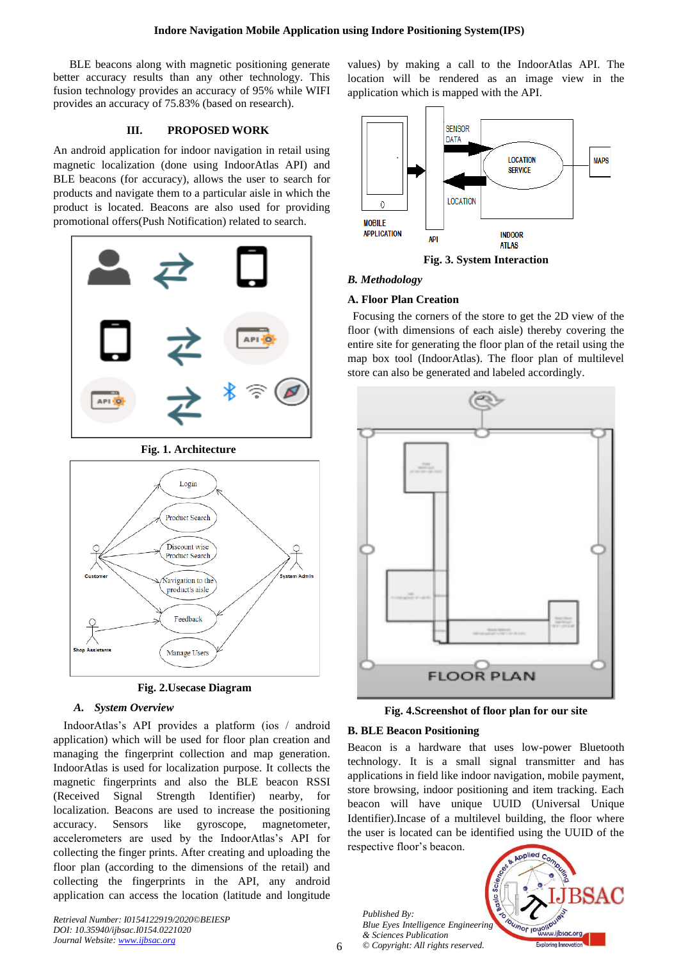BLE beacons along with magnetic positioning generate better accuracy results than any other technology. This fusion technology provides an accuracy of 95% while WIFI provides an accuracy of 75.83% (based on research).

# **III. PROPOSED WORK**

An android application for indoor navigation in retail using magnetic localization (done using IndoorAtlas API) and BLE beacons (for accuracy), allows the user to search for products and navigate them to a particular aisle in which the product is located. Beacons are also used for providing promotional offers(Push Notification) related to search.



**Fig. 1. Architecture**



**Fig. 2.Usecase Diagram**

## *A. System Overview*

IndoorAtlas's API provides a platform (ios / android application) which will be used for floor plan creation and managing the fingerprint collection and map generation. IndoorAtlas is used for localization purpose. It collects the magnetic fingerprints and also the BLE beacon RSSI (Received Signal Strength Identifier) nearby, for localization. Beacons are used to increase the positioning accuracy. Sensors like gyroscope, magnetometer, accelerometers are used by the IndoorAtlas's API for collecting the finger prints. After creating and uploading the floor plan (according to the dimensions of the retail) and collecting the fingerprints in the API, any android application can access the location (latitude and longitude

*Retrieval Number: I0154122919/2020©BEIESP DOI: 10.35940/ijbsac.I0154.0221020 Journal Website: [www.ijbsac.org](http://www.ijbsac.org/)*

values) by making a call to the IndoorAtlas API. The location will be rendered as an image view in the application which is mapped with the API.



**Fig. 3. System Interaction**

### *B. Methodology*

# **A. Floor Plan Creation**

Focusing the corners of the store to get the 2D view of the floor (with dimensions of each aisle) thereby covering the entire site for generating the floor plan of the retail using the map box tool (IndoorAtlas). The floor plan of multilevel store can also be generated and labeled accordingly.



**Fig. 4.Screenshot of floor plan for our site**

# **B. BLE Beacon Positioning**

Beacon is a hardware that uses low-power Bluetooth technology. It is a small signal transmitter and has applications in field like indoor navigation, mobile payment, store browsing, indoor positioning and item tracking. Each beacon will have unique UUID (Universal Unique Identifier).Incase of a multilevel building, the floor where the user is located can be identified using the UUID of the respective floor's beacon.

*Published By: Blue Eyes Intelligence Engineering & Sciences Publication © Copyright: All rights reserved.*



6